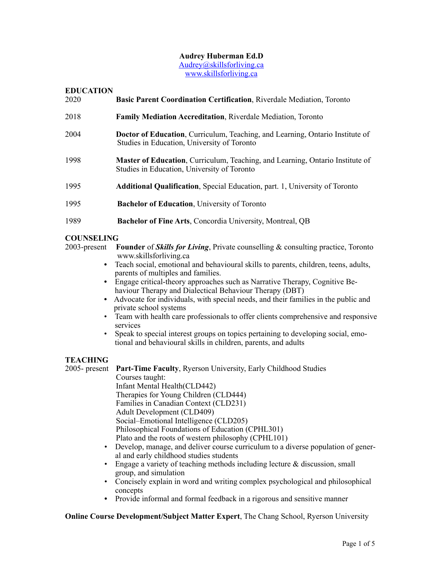# **Audrey Huberman Ed.D**

[Audrey@skillsforliving.ca](mailto:draudrey@skillsforliving.ca)

[www.skillsforliving.ca](http://www.skillsforliving.ca)

## **EDUCATION**

- 2020 **Basic Parent Coordination Certification**, Riverdale Mediation, Toronto
- 2018 **Family Mediation Accreditation**, Riverdale Mediation, Toronto
- 2004 **Doctor of Education**, Curriculum, Teaching, and Learning, Ontario Institute of Studies in Education, University of Toronto
- 1998 **Master of Education**, Curriculum, Teaching, and Learning, Ontario Institute of Studies in Education, University of Toronto
- 1995 **Additional Qualification**, Special Education, part. 1, University of Toronto
- 1995 **Bachelor of Education**, University of Toronto
- 1989 **Bachelor of Fine Arts**, Concordia University, Montreal, QB

## **COUNSELING**

2003-present **Founder** of *Skills for Living*, Private counselling & consulting practice, Toronto www.skillsforliving.ca

- **•** Teach social, emotional and behavioural skills to parents, children, teens, adults, parents of multiples and families.
- **•** Engage critical-theory approaches such as Narrative Therapy, Cognitive Behaviour Therapy and Dialectical Behaviour Therapy (DBT)
- **•** Advocate for individuals, with special needs, and their families in the public and private school systems
- Team with health care professionals to offer clients comprehensive and responsive services
- Speak to special interest groups on topics pertaining to developing social, emotional and behavioural skills in children, parents, and adults

## **TEACHING**

2005- present **Part-Time Faculty**, Ryerson University, Early Childhood Studies Courses taught: Infant Mental Health(CLD442) Therapies for Young Children (CLD444) Families in Canadian Context (CLD231) Adult Development (CLD409) Social–Emotional Intelligence (CLD205) Philosophical Foundations of Education (CPHL301)

- Plato and the roots of western philosophy (CPHL101)
- Develop, manage, and deliver course curriculum to a diverse population of general and early childhood studies students
- Engage a variety of teaching methods including lecture & discussion, small group, and simulation
- Concisely explain in word and writing complex psychological and philosophical concepts
- **•** Provide informal and formal feedback in a rigorous and sensitive manner

## **Online Course Development/Subject Matter Expert**, The Chang School, Ryerson University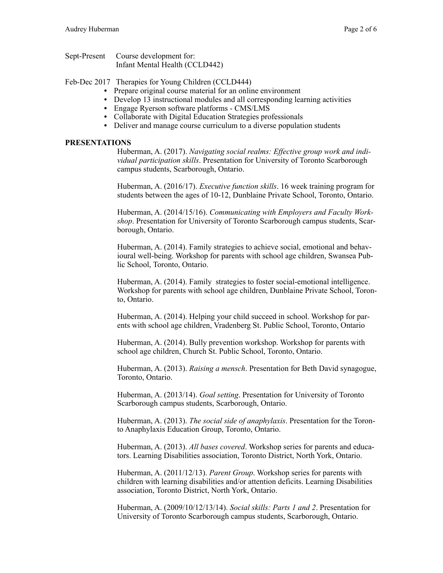#### Sept-Present Course development for: Infant Mental Health (CCLD442)

Feb-Dec 2017 Therapies for Young Children (CCLD444)

- **•** Prepare original course material for an online environment
- Develop 13 instructional modules and all corresponding learning activities
- **•** Engage Ryerson software platforms CMS/LMS
- **•** Collaborate with Digital Education Strategies professionals
- **•** Deliver and manage course curriculum to a diverse population students

## **PRESENTATIONS**

Huberman, A. (2017). *Navigating social realms: Effective group work and individual participation skills*. Presentation for University of Toronto Scarborough campus students, Scarborough, Ontario.

Huberman, A. (2016/17). *Executive function skills*. 16 week training program for students between the ages of 10-12, Dunblaine Private School, Toronto, Ontario.

Huberman, A. (2014/15/16). *Communicating with Employers and Faculty Workshop*. Presentation for University of Toronto Scarborough campus students, Scarborough, Ontario.

Huberman, A. (2014). Family strategies to achieve social, emotional and behavioural well-being. Workshop for parents with school age children, Swansea Public School, Toronto, Ontario.

Huberman, A. (2014). Family strategies to foster social-emotional intelligence. Workshop for parents with school age children, Dunblaine Private School, Toronto, Ontario.

Huberman, A. (2014). Helping your child succeed in school. Workshop for parents with school age children, Vradenberg St. Public School, Toronto, Ontario

Huberman, A. (2014). Bully prevention workshop. Workshop for parents with school age children, Church St. Public School, Toronto, Ontario.

Huberman, A. (2013). *Raising a mensch*. Presentation for Beth David synagogue, Toronto, Ontario.

Huberman, A. (2013/14). *Goal setting*. Presentation for University of Toronto Scarborough campus students, Scarborough, Ontario.

Huberman, A. (2013). *The social side of anaphylaxis*. Presentation for the Toronto Anaphylaxis Education Group, Toronto, Ontario.

Huberman, A. (2013). *All bases covered*. Workshop series for parents and educators. Learning Disabilities association, Toronto District, North York, Ontario.

Huberman, A. (2011/12/13). *Parent Group*. Workshop series for parents with children with learning disabilities and/or attention deficits. Learning Disabilities association, Toronto District, North York, Ontario.

Huberman, A. (2009/10/12/13/14). *Social skills: Parts 1 and 2*. Presentation for University of Toronto Scarborough campus students, Scarborough, Ontario.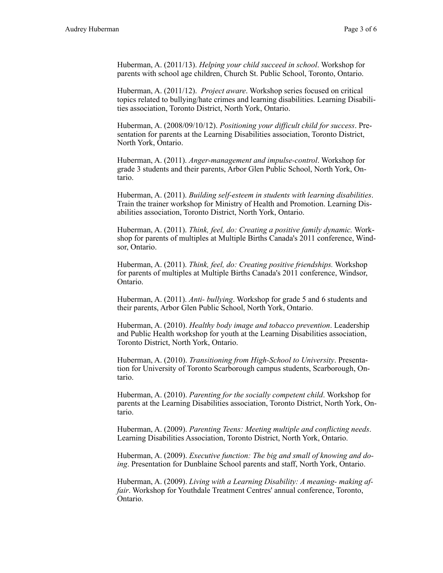Huberman, A. (2011/13). *Helping your child succeed in school*. Workshop for parents with school age children, Church St. Public School, Toronto, Ontario.

Huberman, A. (2011/12). *Project aware*. Workshop series focused on critical topics related to bullying/hate crimes and learning disabilities. Learning Disabilities association, Toronto District, North York, Ontario.

Huberman, A. (2008/09/10/12). *Positioning your difficult child for success*. Presentation for parents at the Learning Disabilities association, Toronto District, North York, Ontario.

Huberman, A. (2011). *Anger-management and impulse-control*. Workshop for grade 3 students and their parents, Arbor Glen Public School, North York, Ontario.

Huberman, A. (2011). *Building self-esteem in students with learning disabilities*. Train the trainer workshop for Ministry of Health and Promotion. Learning Disabilities association, Toronto District, North York, Ontario.

Huberman, A. (2011). *Think, feel, do: Creating a positive family dynamic.* Workshop for parents of multiples at Multiple Births Canada's 2011 conference, Windsor, Ontario.

Huberman, A. (2011). *Think, feel, do: Creating positive friendships.* Workshop for parents of multiples at Multiple Births Canada's 2011 conference, Windsor, Ontario.

Huberman, A. (2011). *Anti- bullying*. Workshop for grade 5 and 6 students and their parents, Arbor Glen Public School, North York, Ontario.

Huberman, A. (2010). *Healthy body image and tobacco prevention*. Leadership and Public Health workshop for youth at the Learning Disabilities association, Toronto District, North York, Ontario.

Huberman, A. (2010). *Transitioning from High-School to University*. Presentation for University of Toronto Scarborough campus students, Scarborough, Ontario.

Huberman, A. (2010). *Parenting for the socially competent child*. Workshop for parents at the Learning Disabilities association, Toronto District, North York, Ontario.

Huberman, A. (2009). *Parenting Teens: Meeting multiple and conflicting needs*. Learning Disabilities Association, Toronto District, North York, Ontario.

Huberman, A. (2009). *Executive function: The big and small of knowing and doing*. Presentation for Dunblaine School parents and staff, North York, Ontario.

Huberman, A. (2009). *Living with a Learning Disability: A meaning- making affair*. Workshop for Youthdale Treatment Centres' annual conference, Toronto, Ontario.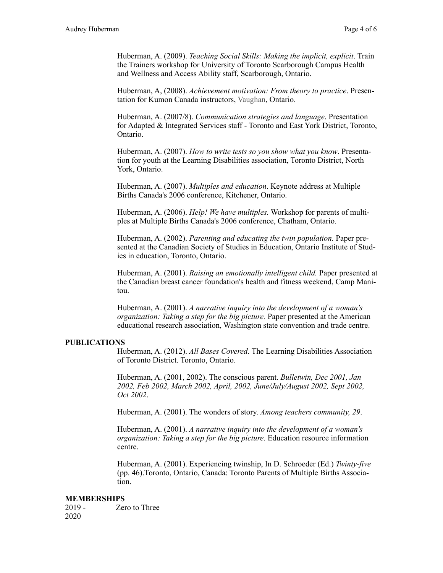Huberman, A. (2009). *Teaching Social Skills: Making the implicit, explicit*. Train the Trainers workshop for University of Toronto Scarborough Campus Health and Wellness and Access Ability staff, Scarborough, Ontario.

Huberman, A, (2008). *Achievement motivation: From theory to practice*. Presentation for Kumon Canada instructors, Vaughan, Ontario.

Huberman, A. (2007/8). *Communication strategies and language*. Presentation for Adapted & Integrated Services staff - Toronto and East York District, Toronto, Ontario.

Huberman, A. (2007). *How to write tests so you show what you know*. Presentation for youth at the Learning Disabilities association, Toronto District, North York, Ontario.

Huberman, A. (2007). *Multiples and education*. Keynote address at Multiple Births Canada's 2006 conference, Kitchener, Ontario.

Huberman, A. (2006). *Help! We have multiples.* Workshop for parents of multiples at Multiple Births Canada's 2006 conference, Chatham, Ontario.

Huberman, A. (2002). *Parenting and educating the twin population.* Paper presented at the Canadian Society of Studies in Education, Ontario Institute of Studies in education, Toronto, Ontario.

Huberman, A. (2001). *Raising an emotionally intelligent child.* Paper presented at the Canadian breast cancer foundation's health and fitness weekend, Camp Manitou.

Huberman, A. (2001). *A narrative inquiry into the development of a woman's organization: Taking a step for the big picture.* Paper presented at the American educational research association, Washington state convention and trade centre.

#### **PUBLICATIONS**

Huberman, A. (2012). *All Bases Covered*. The Learning Disabilities Association of Toronto District. Toronto, Ontario.

Huberman, A. (2001, 2002). The conscious parent. *Bulletwin, Dec 2001, Jan 2002, Feb 2002, March 2002, April, 2002, June/July/August 2002, Sept 2002, Oct 2002*.

Huberman, A. (2001). The wonders of story. *Among teachers community, 29*.

Huberman, A. (2001). *A narrative inquiry into the development of a woman's organization: Taking a step for the big picture*. Education resource information centre.

Huberman, A. (2001). Experiencing twinship, In D. Schroeder (Ed.) *Twinty-five* (pp. 46).Toronto, Ontario, Canada: Toronto Parents of Multiple Births Association.

#### **MEMBERSHIPS**

2019 - Zero to Three 2020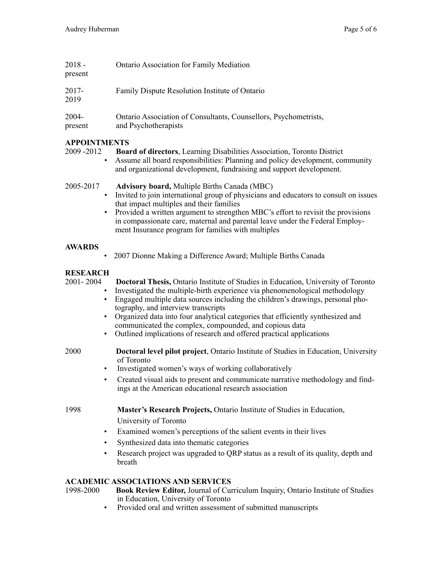| $2018 -$<br>present | <b>Ontario Association for Family Mediation</b>                                          |
|---------------------|------------------------------------------------------------------------------------------|
| $2017 -$<br>2019    | Family Dispute Resolution Institute of Ontario                                           |
| 2004-<br>present    | Ontario Association of Consultants, Counsellors, Psychometrists,<br>and Psychotherapists |

# **APPOINTMENTS**

2009 -2012 **Board of directors**, Learning Disabilities Association, Toronto District

• Assume all board responsibilities: Planning and policy development, community and organizational development, fundraising and support development.

2005-2017 **Advisory board,** Multiple Births Canada (MBC)

- Invited to join international group of physicians and educators to consult on issues that impact multiples and their families
- Provided a written argument to strengthen MBC's effort to revisit the provisions in compassionate care, maternal and parental leave under the Federal Employment Insurance program for families with multiples

# **AWARDS**

• 2007 Dionne Making a Difference Award; Multiple Births Canada

# **RESEARCH**

- 2001- 2004 **Doctoral Thesis,** Ontario Institute of Studies in Education, University of Toronto<br> **•** Investigated the multiple-birth experience via phenomenological methodology
	- Investigated the multiple-birth experience via phenomenological methodology
	- Engaged multiple data sources including the children's drawings, personal photography, and interview transcripts
	- Organized data into four analytical categories that efficiently synthesized and communicated the complex, compounded, and copious data
	- Outlined implications of research and offered practical applications
- 
- 2000 **Doctoral level pilot project**, Ontario Institute of Studies in Education, University of Toronto
	- Investigated women's ways of working collaboratively
	- Created visual aids to present and communicate narrative methodology and findings at the American educational research association

1998 **Master's Research Projects,** Ontario Institute of Studies in Education,

University of Toronto

- Examined women's perceptions of the salient events in their lives
- Synthesized data into thematic categories
- Research project was upgraded to QRP status as a result of its quality, depth and breath

# **ACADEMIC ASSOCIATIONS AND SERVICES**

- **Book Review Editor, Journal of Curriculum Inquiry, Ontario Institute of Studies** in Education, University of Toronto
	- Provided oral and written assessment of submitted manuscripts